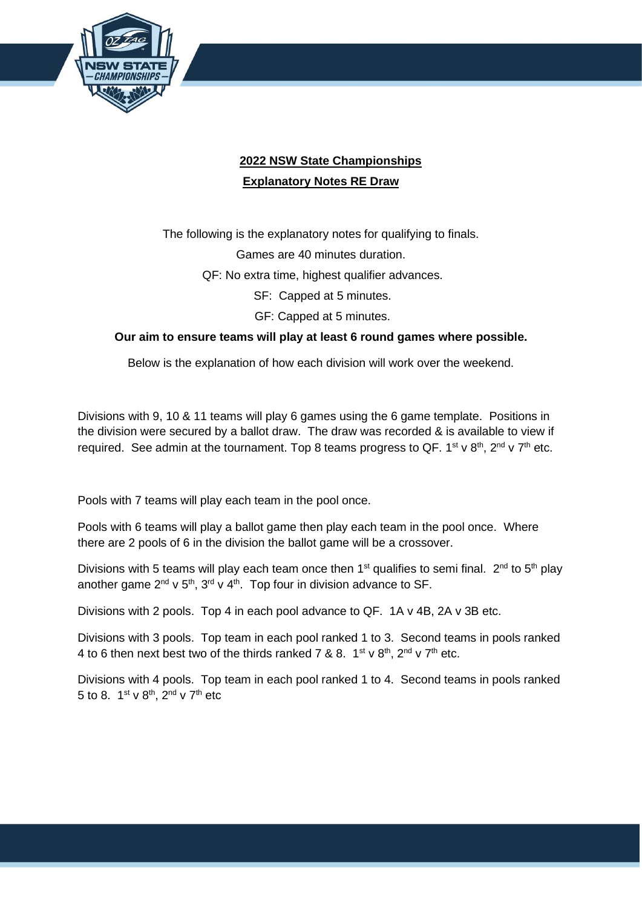

## **2022 NSW State Championships Explanatory Notes RE Draw**

The following is the explanatory notes for qualifying to finals. Games are 40 minutes duration.

QF: No extra time, highest qualifier advances.

SF: Capped at 5 minutes.

GF: Capped at 5 minutes.

## **Our aim to ensure teams will play at least 6 round games where possible.**

Below is the explanation of how each division will work over the weekend.

Divisions with 9, 10 & 11 teams will play 6 games using the 6 game template. Positions in the division were secured by a ballot draw. The draw was recorded & is available to view if required. See admin at the tournament. Top 8 teams progress to QF.  $1^{st}$  v  $8^{th}$ ,  $2^{nd}$  v  $7^{th}$  etc.

Pools with 7 teams will play each team in the pool once.

Pools with 6 teams will play a ballot game then play each team in the pool once. Where there are 2 pools of 6 in the division the ballot game will be a crossover.

Divisions with 5 teams will play each team once then 1<sup>st</sup> qualifies to semi final.  $2^{nd}$  to 5<sup>th</sup> play another game  $2^{nd}$  v  $5^{th}$ ,  $3^{rd}$  v  $4^{th}$ . Top four in division advance to SF.

Divisions with 2 pools. Top 4 in each pool advance to QF. 1A v 4B, 2A v 3B etc.

Divisions with 3 pools. Top team in each pool ranked 1 to 3. Second teams in pools ranked 4 to 6 then next best two of the thirds ranked 7 & 8.  $1^{st}$  v  $8^{th}$ ,  $2^{nd}$  v  $7^{th}$  etc.

Divisions with 4 pools. Top team in each pool ranked 1 to 4. Second teams in pools ranked 5 to 8.  $1^{\text{st}}$  v  $8^{\text{th}}$ ,  $2^{\text{nd}}$  v  $7^{\text{th}}$  etc